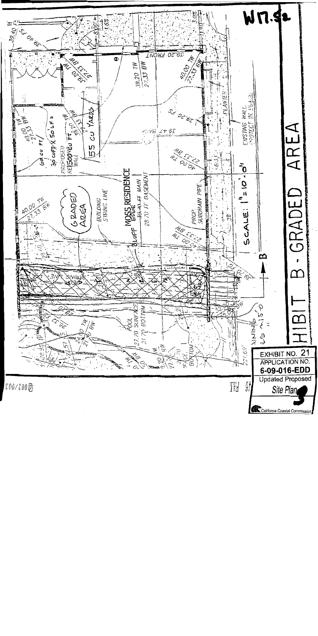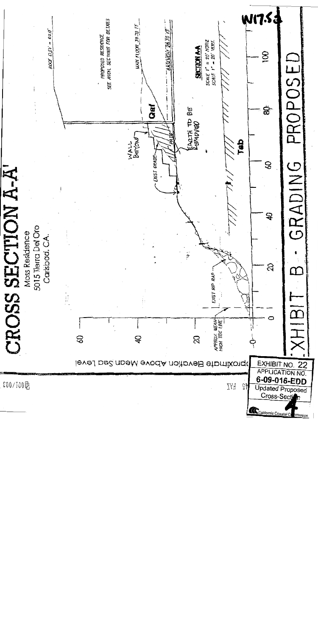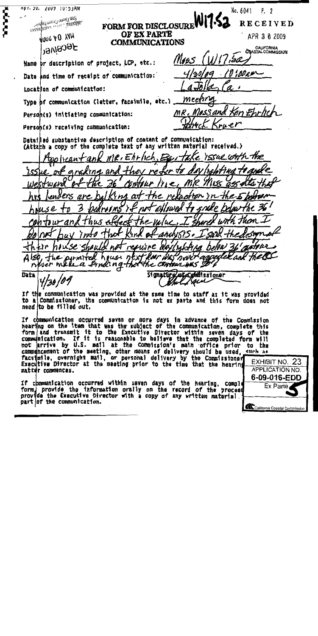MPT. 3V. 2009 10:53AM No. 6041 P. 2 **San Diene Coast Digition** FORM FOR DISCLOSURE WI7-5 IOISEILPINO ENSPEC BILIONIE **RECEIVED** OF EX PARTE JUNG AO YAM APR 3 0 2009 **COMMUNICATIONS Jecened** CALIFORNIA<br>COASTAL COMMISSION (11/17.5a M155 Name or description of project, LCP, etc.: ' 0 ° 1.00 a.u Date and time of receipt of communication: Location of communication: meer Type of communication (letter, facsimile, etc.). MR. Mess and Ken Ehrlic Person(s) initiating communication: 11 C P Persoh(s) receiving communication: Datailled substantive description of content of communication: (Attach a copy of the complete text of any written material received.) Ke Issue with the  $m$ e, Ehrlich, Bw' ton Heantan 7 N A ryna. ans they ne MR the KG nA **a**d ' IW PL h NUS e Thus an.  $uU$ resurne m nevit appede 'Y Mr iVES e permited house n ₽Y  $\Delta$ A The CONTOUR HAS 20 never make a find ng that Signature of Cannissioner **Date** sun If the communication was provided at the same time to staff as it was provided to a Commissioner, the communication is not ex parte and this form does not need to be filled out. If communication occurred saven or more days in advance of the Commission hearing on the item that was the subject of the communication, complete this<br>form and transmit it to the Executive Director within seven days of the<br>communication. If it is reasonable to helieve that the completed form wil commencement of the meeting, other means of delivery should be used, such as EXHIBIT NO. 23 Executive Director at the meeting prior to the time that the hearing **APPLICATION NO.** matter commences. 6-09-016-EDD If communication occurred within seven days of the hearing, comple Ex Parte form provide the information orally on the record of the proceed<br>provide the Executive Director with a copy of any written material. part of the communication. California Coastal Commission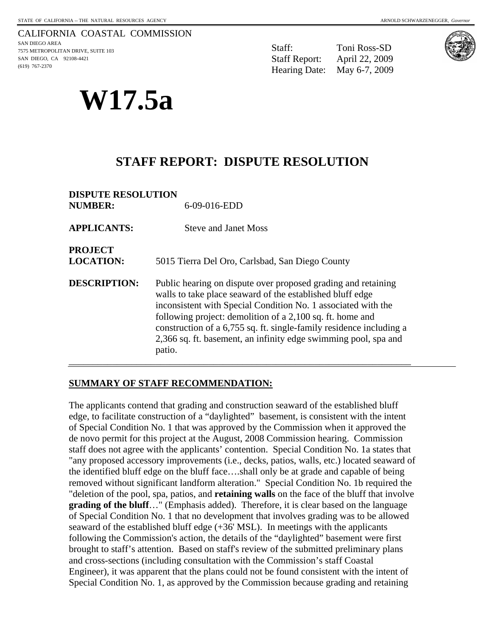#### CALIFORNIA COASTAL COMMISSION SAN DIEGO AREA 7575 METROPOLITAN DRIVE, SUITE 103 SAN DIEGO, CA 92108-4421 (619) 767-2370

**W17.5a** 

Staff: Toni Ross-SD Staff Report: April 22, 2009 Hearing Date: May 6-7, 2009



# **STAFF REPORT: DISPUTE RESOLUTION**

| <b>DISPUTE RESOLUTION</b>          |                                                                                                                                                                                                                                                                                                                                                                                                              |
|------------------------------------|--------------------------------------------------------------------------------------------------------------------------------------------------------------------------------------------------------------------------------------------------------------------------------------------------------------------------------------------------------------------------------------------------------------|
| <b>NUMBER:</b>                     | 6-09-016-EDD                                                                                                                                                                                                                                                                                                                                                                                                 |
| <b>APPLICANTS:</b>                 | <b>Steve and Janet Moss</b>                                                                                                                                                                                                                                                                                                                                                                                  |
| <b>PROJECT</b><br><b>LOCATION:</b> | 5015 Tierra Del Oro, Carlsbad, San Diego County                                                                                                                                                                                                                                                                                                                                                              |
| <b>DESCRIPTION:</b>                | Public hearing on dispute over proposed grading and retaining<br>walls to take place seaward of the established bluff edge<br>inconsistent with Special Condition No. 1 associated with the<br>following project: demolition of a 2,100 sq. ft. home and<br>construction of a 6,755 sq. ft. single-family residence including a<br>2,366 sq. ft. basement, an infinity edge swimming pool, spa and<br>patio. |

\_\_\_\_\_\_\_\_\_\_\_\_\_\_\_\_\_\_\_\_\_\_\_\_\_\_\_\_\_\_\_\_\_\_\_\_\_\_\_\_\_\_\_\_\_\_\_\_\_\_\_\_\_\_\_\_\_\_\_\_\_\_\_\_\_\_\_\_\_\_\_

#### **SUMMARY OF STAFF RECOMMENDATION:**

The applicants contend that grading and construction seaward of the established bluff edge, to facilitate construction of a "daylighted" basement, is consistent with the intent of Special Condition No. 1 that was approved by the Commission when it approved the de novo permit for this project at the August, 2008 Commission hearing. Commission staff does not agree with the applicants' contention. Special Condition No. 1a states that "any proposed accessory improvements (i.e., decks, patios, walls, etc.) located seaward of the identified bluff edge on the bluff face….shall only be at grade and capable of being removed without significant landform alteration." Special Condition No. 1b required the "deletion of the pool, spa, patios, and **retaining walls** on the face of the bluff that involve **grading of the bluff...**" (Emphasis added). Therefore, it is clear based on the language of Special Condition No. 1 that no development that involves grading was to be allowed seaward of the established bluff edge  $(+36'$  MSL). In meetings with the applicants following the Commission's action, the details of the "daylighted" basement were first brought to staff's attention. Based on staff's review of the submitted preliminary plans and cross-sections (including consultation with the Commission's staff Coastal Engineer), it was apparent that the plans could not be found consistent with the intent of Special Condition No. 1, as approved by the Commission because grading and retaining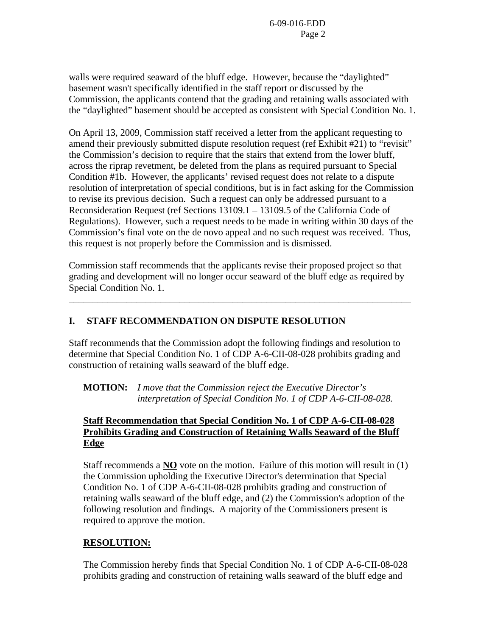walls were required seaward of the bluff edge. However, because the "daylighted" basement wasn't specifically identified in the staff report or discussed by the Commission, the applicants contend that the grading and retaining walls associated with the "daylighted" basement should be accepted as consistent with Special Condition No. 1.

On April 13, 2009, Commission staff received a letter from the applicant requesting to amend their previously submitted dispute resolution request (ref Exhibit #21) to "revisit" the Commission's decision to require that the stairs that extend from the lower bluff, across the riprap revetment, be deleted from the plans as required pursuant to Special Condition #1b. However, the applicants' revised request does not relate to a dispute resolution of interpretation of special conditions, but is in fact asking for the Commission to revise its previous decision. Such a request can only be addressed pursuant to a Reconsideration Request (ref Sections 13109.1 – 13109.5 of the California Code of Regulations). However, such a request needs to be made in writing within 30 days of the Commission's final vote on the de novo appeal and no such request was received. Thus, this request is not properly before the Commission and is dismissed.

Commission staff recommends that the applicants revise their proposed project so that grading and development will no longer occur seaward of the bluff edge as required by Special Condition No. 1.

\_\_\_\_\_\_\_\_\_\_\_\_\_\_\_\_\_\_\_\_\_\_\_\_\_\_\_\_\_\_\_\_\_\_\_\_\_\_\_\_\_\_\_\_\_\_\_\_\_\_\_\_\_\_\_\_\_\_\_\_\_\_\_\_\_\_\_\_\_\_\_

## **I. STAFF RECOMMENDATION ON DISPUTE RESOLUTION**

Staff recommends that the Commission adopt the following findings and resolution to determine that Special Condition No. 1 of CDP A-6-CII-08-028 prohibits grading and construction of retaining walls seaward of the bluff edge.

**MOTION:** *I move that the Commission reject the Executive Director's interpretation of Special Condition No. 1 of CDP A-6-CII-08-028.* 

## **Staff Recommendation that Special Condition No. 1 of CDP A-6-CII-08-028 Prohibits Grading and Construction of Retaining Walls Seaward of the Bluff Edge**

Staff recommends a **NO** vote on the motion. Failure of this motion will result in (1) the Commission upholding the Executive Director's determination that Special Condition No. 1 of CDP A-6-CII-08-028 prohibits grading and construction of retaining walls seaward of the bluff edge, and (2) the Commission's adoption of the following resolution and findings. A majority of the Commissioners present is required to approve the motion.

## **RESOLUTION:**

The Commission hereby finds that Special Condition No. 1 of CDP A-6-CII-08-028 prohibits grading and construction of retaining walls seaward of the bluff edge and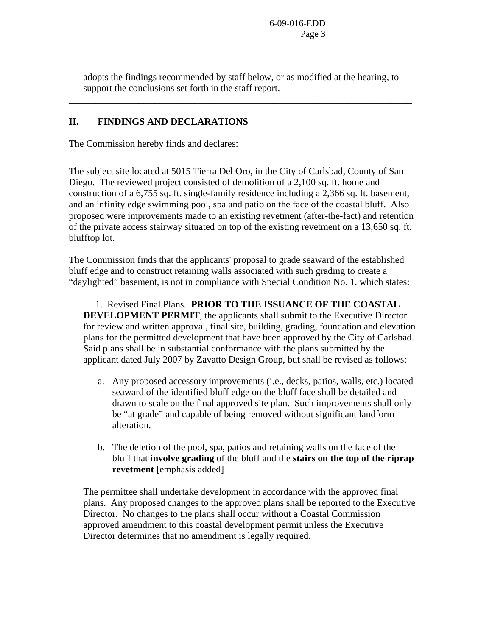adopts the findings recommended by staff below, or as modified at the hearing, to support the conclusions set forth in the staff report.

\_\_\_\_\_\_\_\_\_\_\_\_\_\_\_\_\_\_\_\_\_\_\_\_\_\_\_\_\_\_\_\_\_\_\_\_\_\_\_\_\_\_\_\_\_\_\_\_\_\_\_\_\_\_\_\_\_\_\_\_\_\_\_\_

### **II. FINDINGS AND DECLARATIONS**

The Commission hereby finds and declares:

The subject site located at 5015 Tierra Del Oro, in the City of Carlsbad, County of San Diego. The reviewed project consisted of demolition of a 2,100 sq. ft. home and construction of a 6,755 sq. ft. single-family residence including a 2,366 sq. ft. basement, and an infinity edge swimming pool, spa and patio on the face of the coastal bluff. Also proposed were improvements made to an existing revetment (after-the-fact) and retention of the private access stairway situated on top of the existing revetment on a 13,650 sq. ft. blufftop lot.

The Commission finds that the applicants' proposal to grade seaward of the established bluff edge and to construct retaining walls associated with such grading to create a "daylighted" basement, is not in compliance with Special Condition No. 1. which states:

 1. Revised Final Plans. **PRIOR TO THE ISSUANCE OF THE COASTAL DEVELOPMENT PERMIT**, the applicants shall submit to the Executive Director for review and written approval, final site, building, grading, foundation and elevation plans for the permitted development that have been approved by the City of Carlsbad. Said plans shall be in substantial conformance with the plans submitted by the applicant dated July 2007 by Zavatto Design Group, but shall be revised as follows:

- a. Any proposed accessory improvements (i.e., decks, patios, walls, etc.) located seaward of the identified bluff edge on the bluff face shall be detailed and drawn to scale on the final approved site plan. Such improvements shall only be "at grade" and capable of being removed without significant landform alteration.
- b. The deletion of the pool, spa, patios and retaining walls on the face of the bluff that **involve grading** of the bluff and the **stairs on the top of the riprap revetment** [emphasis added]

The permittee shall undertake development in accordance with the approved final plans. Any proposed changes to the approved plans shall be reported to the Executive Director. No changes to the plans shall occur without a Coastal Commission approved amendment to this coastal development permit unless the Executive Director determines that no amendment is legally required.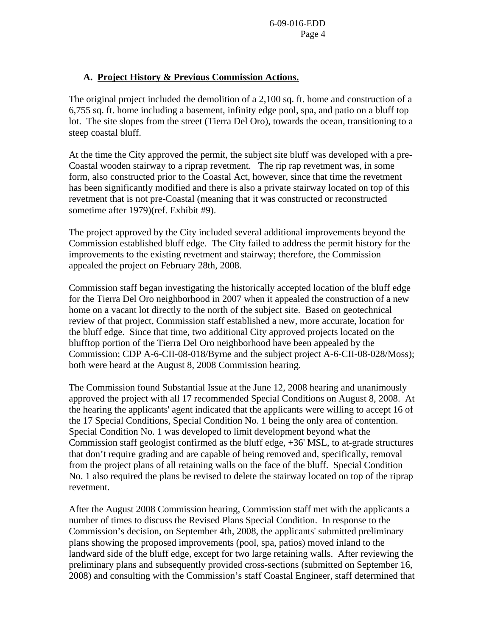#### **A. Project History & Previous Commission Actions.**

The original project included the demolition of a 2,100 sq. ft. home and construction of a 6,755 sq. ft. home including a basement, infinity edge pool, spa, and patio on a bluff top lot. The site slopes from the street (Tierra Del Oro), towards the ocean, transitioning to a steep coastal bluff.

At the time the City approved the permit, the subject site bluff was developed with a pre-Coastal wooden stairway to a riprap revetment. The rip rap revetment was, in some form, also constructed prior to the Coastal Act, however, since that time the revetment has been significantly modified and there is also a private stairway located on top of this revetment that is not pre-Coastal (meaning that it was constructed or reconstructed sometime after 1979)(ref. Exhibit #9).

The project approved by the City included several additional improvements beyond the Commission established bluff edge. The City failed to address the permit history for the improvements to the existing revetment and stairway; therefore, the Commission appealed the project on February 28th, 2008.

Commission staff began investigating the historically accepted location of the bluff edge for the Tierra Del Oro neighborhood in 2007 when it appealed the construction of a new home on a vacant lot directly to the north of the subject site. Based on geotechnical review of that project, Commission staff established a new, more accurate, location for the bluff edge. Since that time, two additional City approved projects located on the blufftop portion of the Tierra Del Oro neighborhood have been appealed by the Commission; CDP A-6-CII-08-018/Byrne and the subject project A-6-CII-08-028/Moss); both were heard at the August 8, 2008 Commission hearing.

The Commission found Substantial Issue at the June 12, 2008 hearing and unanimously approved the project with all 17 recommended Special Conditions on August 8, 2008. At the hearing the applicants' agent indicated that the applicants were willing to accept 16 of the 17 Special Conditions, Special Condition No. 1 being the only area of contention. Special Condition No. 1 was developed to limit development beyond what the Commission staff geologist confirmed as the bluff edge, +36' MSL, to at-grade structures that don't require grading and are capable of being removed and, specifically, removal from the project plans of all retaining walls on the face of the bluff. Special Condition No. 1 also required the plans be revised to delete the stairway located on top of the riprap revetment.

After the August 2008 Commission hearing, Commission staff met with the applicants a number of times to discuss the Revised Plans Special Condition. In response to the Commission's decision, on September 4th, 2008, the applicants' submitted preliminary plans showing the proposed improvements (pool, spa, patios) moved inland to the landward side of the bluff edge, except for two large retaining walls. After reviewing the preliminary plans and subsequently provided cross-sections (submitted on September 16, 2008) and consulting with the Commission's staff Coastal Engineer, staff determined that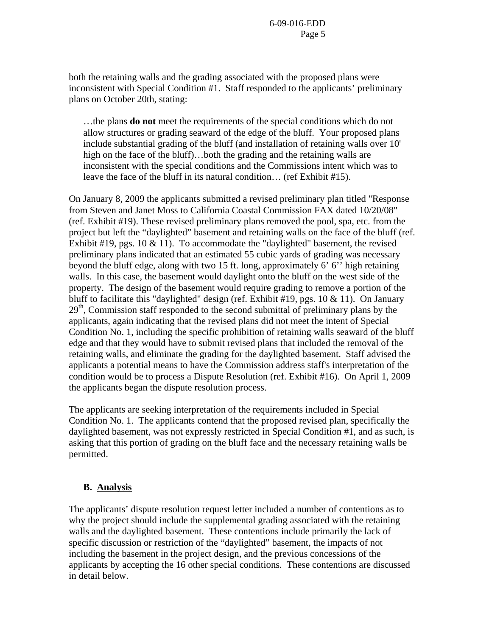both the retaining walls and the grading associated with the proposed plans were inconsistent with Special Condition #1. Staff responded to the applicants' preliminary plans on October 20th, stating:

…the plans **do not** meet the requirements of the special conditions which do not allow structures or grading seaward of the edge of the bluff. Your proposed plans include substantial grading of the bluff (and installation of retaining walls over 10' high on the face of the bluff)...both the grading and the retaining walls are inconsistent with the special conditions and the Commissions intent which was to leave the face of the bluff in its natural condition… (ref Exhibit #15).

On January 8, 2009 the applicants submitted a revised preliminary plan titled "Response from Steven and Janet Moss to California Coastal Commission FAX dated 10/20/08" (ref. Exhibit #19). These revised preliminary plans removed the pool, spa, etc. from the project but left the "daylighted" basement and retaining walls on the face of the bluff (ref. Exhibit #19, pgs. 10  $& 11$ ). To accommodate the "daylighted" basement, the revised preliminary plans indicated that an estimated 55 cubic yards of grading was necessary beyond the bluff edge, along with two 15 ft. long, approximately 6' 6'' high retaining walls. In this case, the basement would daylight onto the bluff on the west side of the property. The design of the basement would require grading to remove a portion of the bluff to facilitate this "daylighted" design (ref. Exhibit #19, pgs. 10  $&$  11). On January 29<sup>th</sup>, Commission staff responded to the second submittal of preliminary plans by the applicants, again indicating that the revised plans did not meet the intent of Special Condition No. 1, including the specific prohibition of retaining walls seaward of the bluff edge and that they would have to submit revised plans that included the removal of the retaining walls, and eliminate the grading for the daylighted basement. Staff advised the applicants a potential means to have the Commission address staff's interpretation of the condition would be to process a Dispute Resolution (ref. Exhibit #16). On April 1, 2009 the applicants began the dispute resolution process.

The applicants are seeking interpretation of the requirements included in Special Condition No. 1. The applicants contend that the proposed revised plan, specifically the daylighted basement, was not expressly restricted in Special Condition #1, and as such, is asking that this portion of grading on the bluff face and the necessary retaining walls be permitted.

#### **B. Analysis**

The applicants' dispute resolution request letter included a number of contentions as to why the project should include the supplemental grading associated with the retaining walls and the daylighted basement. These contentions include primarily the lack of specific discussion or restriction of the "daylighted" basement, the impacts of not including the basement in the project design, and the previous concessions of the applicants by accepting the 16 other special conditions. These contentions are discussed in detail below.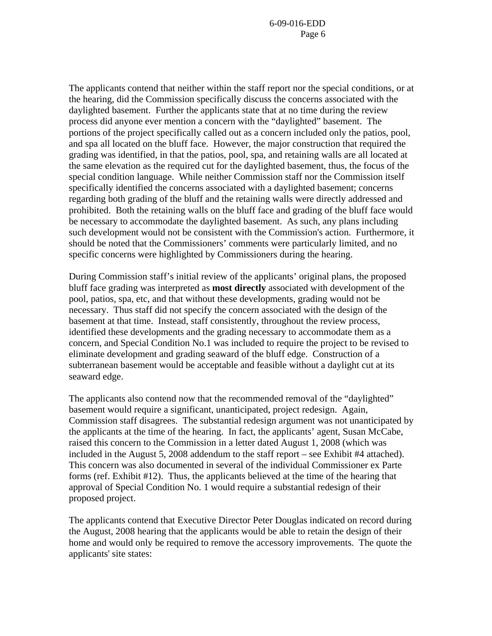The applicants contend that neither within the staff report nor the special conditions, or at the hearing, did the Commission specifically discuss the concerns associated with the daylighted basement. Further the applicants state that at no time during the review process did anyone ever mention a concern with the "daylighted" basement. The portions of the project specifically called out as a concern included only the patios, pool, and spa all located on the bluff face. However, the major construction that required the grading was identified, in that the patios, pool, spa, and retaining walls are all located at the same elevation as the required cut for the daylighted basement, thus, the focus of the special condition language. While neither Commission staff nor the Commission itself specifically identified the concerns associated with a daylighted basement; concerns regarding both grading of the bluff and the retaining walls were directly addressed and prohibited. Both the retaining walls on the bluff face and grading of the bluff face would be necessary to accommodate the daylighted basement. As such, any plans including such development would not be consistent with the Commission's action. Furthermore, it should be noted that the Commissioners' comments were particularly limited, and no specific concerns were highlighted by Commissioners during the hearing.

During Commission staff's initial review of the applicants' original plans, the proposed bluff face grading was interpreted as **most directly** associated with development of the pool, patios, spa, etc, and that without these developments, grading would not be necessary. Thus staff did not specify the concern associated with the design of the basement at that time. Instead, staff consistently, throughout the review process, identified these developments and the grading necessary to accommodate them as a concern, and Special Condition No.1 was included to require the project to be revised to eliminate development and grading seaward of the bluff edge. Construction of a subterranean basement would be acceptable and feasible without a daylight cut at its seaward edge.

The applicants also contend now that the recommended removal of the "daylighted" basement would require a significant, unanticipated, project redesign. Again, Commission staff disagrees. The substantial redesign argument was not unanticipated by the applicants at the time of the hearing. In fact, the applicants' agent, Susan McCabe, raised this concern to the Commission in a letter dated August 1, 2008 (which was included in the August 5, 2008 addendum to the staff report – see Exhibit #4 attached). This concern was also documented in several of the individual Commissioner ex Parte forms (ref. Exhibit #12). Thus, the applicants believed at the time of the hearing that approval of Special Condition No. 1 would require a substantial redesign of their proposed project.

The applicants contend that Executive Director Peter Douglas indicated on record during the August, 2008 hearing that the applicants would be able to retain the design of their home and would only be required to remove the accessory improvements. The quote the applicants' site states: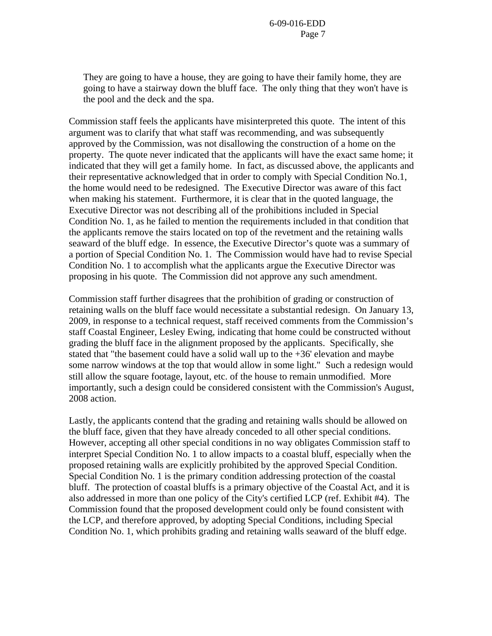They are going to have a house, they are going to have their family home, they are going to have a stairway down the bluff face. The only thing that they won't have is the pool and the deck and the spa.

Commission staff feels the applicants have misinterpreted this quote. The intent of this argument was to clarify that what staff was recommending, and was subsequently approved by the Commission, was not disallowing the construction of a home on the property. The quote never indicated that the applicants will have the exact same home; it indicated that they will get a family home. In fact, as discussed above, the applicants and their representative acknowledged that in order to comply with Special Condition No.1, the home would need to be redesigned. The Executive Director was aware of this fact when making his statement. Furthermore, it is clear that in the quoted language, the Executive Director was not describing all of the prohibitions included in Special Condition No. 1, as he failed to mention the requirements included in that condition that the applicants remove the stairs located on top of the revetment and the retaining walls seaward of the bluff edge. In essence, the Executive Director's quote was a summary of a portion of Special Condition No. 1. The Commission would have had to revise Special Condition No. 1 to accomplish what the applicants argue the Executive Director was proposing in his quote. The Commission did not approve any such amendment.

Commission staff further disagrees that the prohibition of grading or construction of retaining walls on the bluff face would necessitate a substantial redesign. On January 13, 2009, in response to a technical request, staff received comments from the Commission's staff Coastal Engineer, Lesley Ewing, indicating that home could be constructed without grading the bluff face in the alignment proposed by the applicants. Specifically, she stated that "the basement could have a solid wall up to the +36' elevation and maybe some narrow windows at the top that would allow in some light." Such a redesign would still allow the square footage, layout, etc. of the house to remain unmodified. More importantly, such a design could be considered consistent with the Commission's August, 2008 action.

Lastly, the applicants contend that the grading and retaining walls should be allowed on the bluff face, given that they have already conceded to all other special conditions. However, accepting all other special conditions in no way obligates Commission staff to interpret Special Condition No. 1 to allow impacts to a coastal bluff, especially when the proposed retaining walls are explicitly prohibited by the approved Special Condition. Special Condition No. 1 is the primary condition addressing protection of the coastal bluff. The protection of coastal bluffs is a primary objective of the Coastal Act, and it is also addressed in more than one policy of the City's certified LCP (ref. Exhibit #4). The Commission found that the proposed development could only be found consistent with the LCP, and therefore approved, by adopting Special Conditions, including Special Condition No. 1, which prohibits grading and retaining walls seaward of the bluff edge.